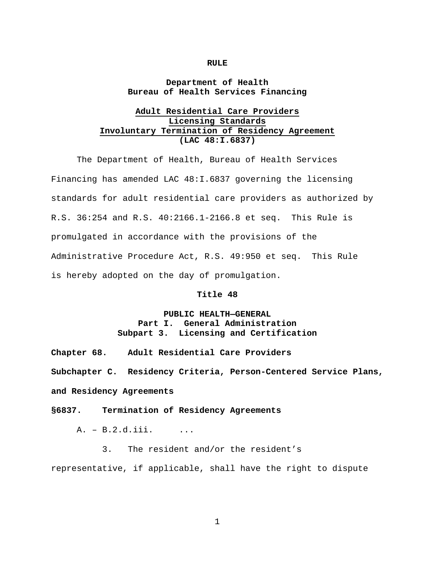#### **RULE**

## **Department of Health Bureau of Health Services Financing**

# **Adult Residential Care Providers Licensing Standards Involuntary Termination of Residency Agreement (LAC 48:I.6837)**

 The Department of Health, Bureau of Health Services Financing has amended LAC 48:I.6837 governing the licensing standards for adult residential care providers as authorized by R.S. 36:254 and R.S. 40:2166.1-2166.8 et seq. This Rule is promulgated in accordance with the provisions of the Administrative Procedure Act, R.S. 49:950 et seq. This Rule is hereby adopted on the day of promulgation.

#### **Title 48**

# **PUBLIC HEALTH—GENERAL Part I. General Administration Subpart 3. Licensing and Certification**

**Chapter 68. Adult Residential Care Providers** 

**Subchapter C. Residency Criteria, Person-Centered Service Plans,** 

**and Residency Agreements** 

#### **§6837. Termination of Residency Agreements**

A. - B.2.d.iii. ...

 3. The resident and/or the resident's representative, if applicable, shall have the right to dispute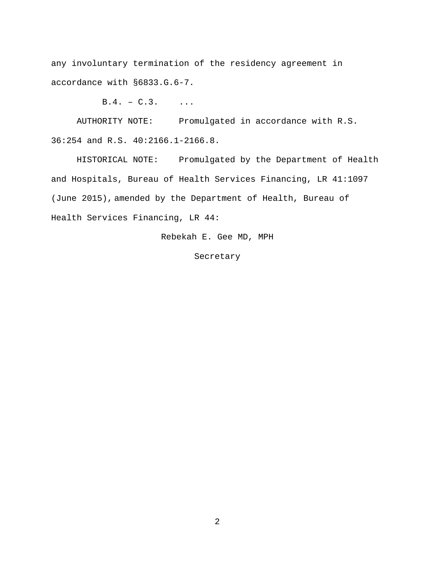any involuntary termination of the residency agreement in accordance with §6833.G.6-7.

 $B.4. - C.3.$  ...

 AUTHORITY NOTE: Promulgated in accordance with R.S. 36:254 and R.S. 40:2166.1-2166.8.

 HISTORICAL NOTE: Promulgated by the Department of Health and Hospitals, Bureau of Health Services Financing, LR 41:1097 (June 2015), amended by the Department of Health, Bureau of Health Services Financing, LR 44:

Rebekah E. Gee MD, MPH

Secretary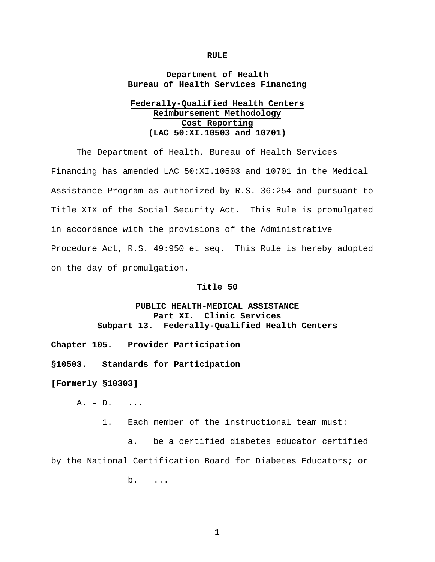#### **RULE**

### **Department of Health Bureau of Health Services Financing**

# **Federally-Qualified Health Centers Reimbursement Methodology Cost Reporting (LAC 50:XI.10503 and 10701)**

The Department of Health, Bureau of Health Services Financing has amended LAC 50:XI.10503 and 10701 in the Medical Assistance Program as authorized by R.S. 36:254 and pursuant to Title XIX of the Social Security Act. This Rule is promulgated in accordance with the provisions of the Administrative Procedure Act, R.S. 49:950 et seq. This Rule is hereby adopted on the day of promulgation.

### **Title 50**

## **PUBLIC HEALTH-MEDICAL ASSISTANCE Part XI. Clinic Services Subpart 13. Federally-Qualified Health Centers**

**Chapter 105. Provider Participation** 

**§10503. Standards for Participation** 

**[Formerly §10303]** 

A. – D. ...

1. Each member of the instructional team must:

 a. be a certified diabetes educator certified by the National Certification Board for Diabetes Educators; or

b. ...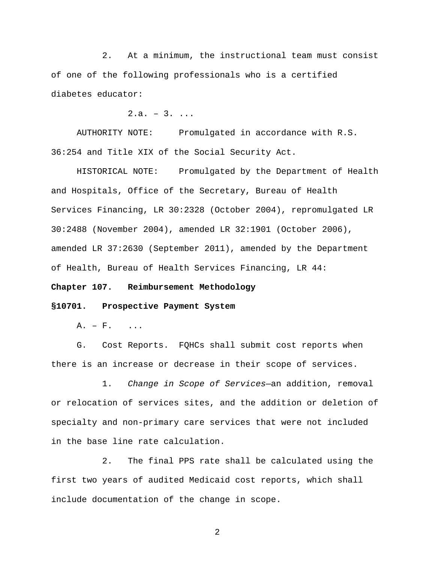2. At a minimum, the instructional team must consist of one of the following professionals who is a certified diabetes educator:

 $2.a. - 3. ...$ 

 AUTHORITY NOTE: Promulgated in accordance with R.S. 36:254 and Title XIX of the Social Security Act.

 HISTORICAL NOTE: Promulgated by the Department of Health and Hospitals, Office of the Secretary, Bureau of Health Services Financing, LR 30:2328 (October 2004), repromulgated LR 30:2488 (November 2004), amended LR 32:1901 (October 2006), amended LR 37:2630 (September 2011), amended by the Department of Health, Bureau of Health Services Financing, LR 44:

### **Chapter 107. Reimbursement Methodology**

#### **§10701. Prospective Payment System**

 $A. - F.$  ...

 G. Cost Reports. FQHCs shall submit cost reports when there is an increase or decrease in their scope of services.

 1. *Change in Scope of Services*—an addition, removal or relocation of services sites, and the addition or deletion of specialty and non-primary care services that were not included in the base line rate calculation.

 2. The final PPS rate shall be calculated using the first two years of audited Medicaid cost reports, which shall include documentation of the change in scope.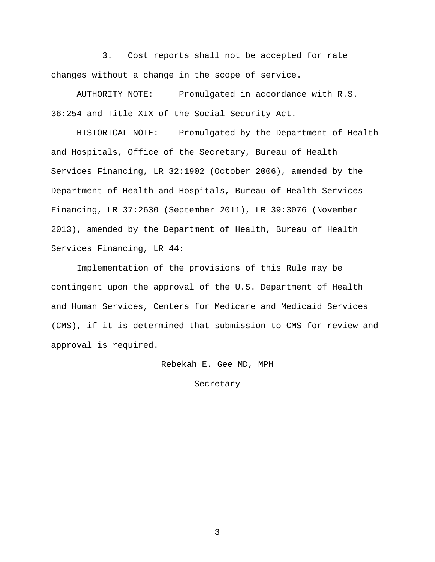3. Cost reports shall not be accepted for rate changes without a change in the scope of service.

 AUTHORITY NOTE: Promulgated in accordance with R.S. 36:254 and Title XIX of the Social Security Act.

 HISTORICAL NOTE: Promulgated by the Department of Health and Hospitals, Office of the Secretary, Bureau of Health Services Financing, LR 32:1902 (October 2006), amended by the Department of Health and Hospitals, Bureau of Health Services Financing, LR 37:2630 (September 2011), LR 39:3076 (November 2013), amended by the Department of Health, Bureau of Health Services Financing, LR 44:

 Implementation of the provisions of this Rule may be contingent upon the approval of the U.S. Department of Health and Human Services, Centers for Medicare and Medicaid Services (CMS), if it is determined that submission to CMS for review and approval is required.

Rebekah E. Gee MD, MPH

Secretary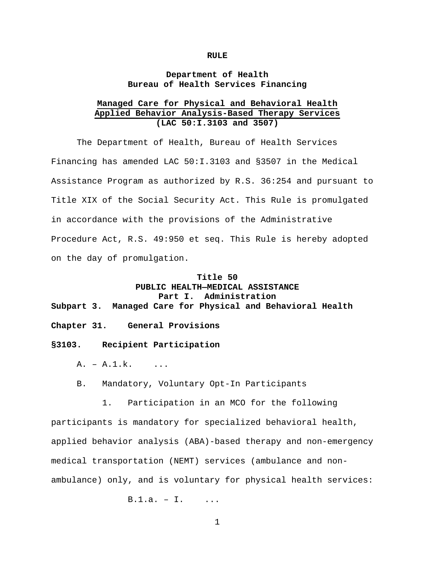#### **RULE**

## **Department of Health Bureau of Health Services Financing**

## **Managed Care for Physical and Behavioral Health Applied Behavior Analysis-Based Therapy Services (LAC 50:I.3103 and 3507)**

 The Department of Health, Bureau of Health Services Financing has amended LAC 50:I.3103 and §3507 in the Medical Assistance Program as authorized by R.S. 36:254 and pursuant to Title XIX of the Social Security Act. This Rule is promulgated in accordance with the provisions of the Administrative Procedure Act, R.S. 49:950 et seq. This Rule is hereby adopted on the day of promulgation.

### **Title 50**

# **PUBLIC HEALTH—MEDICAL ASSISTANCE Part I. Administration Subpart 3. Managed Care for Physical and Behavioral Health**

**Chapter 31. General Provisions** 

**§3103. Recipient Participation** 

 $A. - A.1.k.$  ...

B. Mandatory, Voluntary Opt-In Participants

1. Participation in an MCO for the following

participants is mandatory for specialized behavioral health, applied behavior analysis (ABA)-based therapy and non-emergency medical transportation (NEMT) services (ambulance and nonambulance) only, and is voluntary for physical health services:

 $B.1.a. - I.$  ...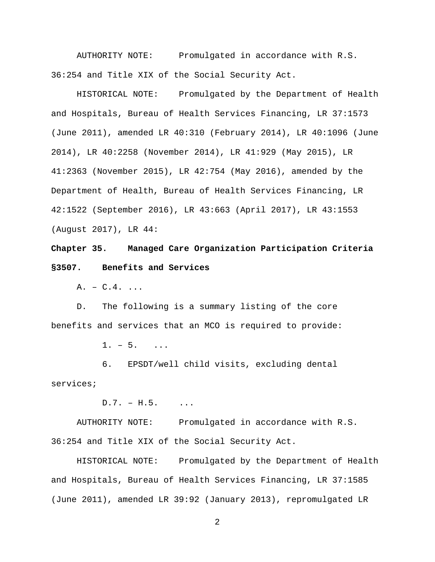AUTHORITY NOTE: Promulgated in accordance with R.S. 36:254 and Title XIX of the Social Security Act.

 HISTORICAL NOTE: Promulgated by the Department of Health and Hospitals, Bureau of Health Services Financing, LR 37:1573 (June 2011), amended LR 40:310 (February 2014), LR 40:1096 (June 2014), LR 40:2258 (November 2014), LR 41:929 (May 2015), LR 41:2363 (November 2015), LR 42:754 (May 2016), amended by the Department of Health, Bureau of Health Services Financing, LR 42:1522 (September 2016), LR 43:663 (April 2017), LR 43:1553 (August 2017), LR 44:

**Chapter 35. Managed Care Organization Participation Criteria §3507. Benefits and Services** 

A. – C.4. ...

 D. The following is a summary listing of the core benefits and services that an MCO is required to provide:

 $1. - 5.$  ...

 6. EPSDT/well child visits, excluding dental services;

 $D.7. - H.5.$  ...

 AUTHORITY NOTE: Promulgated in accordance with R.S. 36:254 and Title XIX of the Social Security Act.

 HISTORICAL NOTE: Promulgated by the Department of Health and Hospitals, Bureau of Health Services Financing, LR 37:1585 (June 2011), amended LR 39:92 (January 2013), repromulgated LR